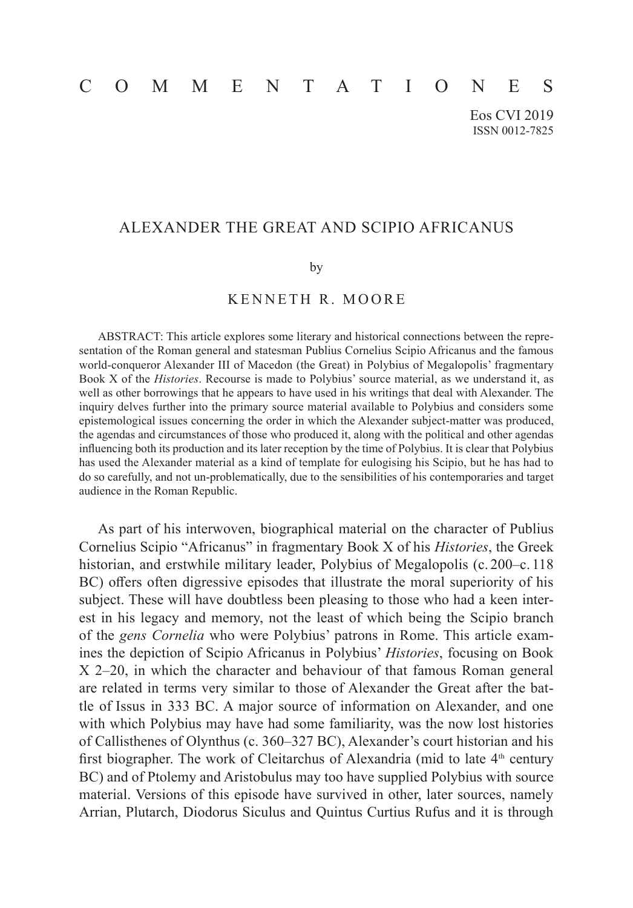# COMMENTATIONES

Eos CVI 2019 ISSN 0012-7825

## ALEXANDER THE GREAT AND SCIPIO AFRICANUS

#### by

### KENNETH R. MOORE

ABSTRACT: This article explores some literary and historical connections between the representation of the Roman general and statesman Publius Cornelius Scipio Africanus and the famous world-conqueror Alexander III of Macedon (the Great) in Polybius of Megalopolis' fragmentary Book X of the *Histories*. Recourse is made to Polybius' source material, as we understand it, as well as other borrowings that he appears to have used in his writings that deal with Alexander. The inquiry delves further into the primary source material available to Polybius and considers some epistemological issues concerning the order in which the Alexander subject-matter was produced, the agendas and circumstances of those who produced it, along with the political and other agendas influencing both its production and its later reception by the time of Polybius. It is clear that Polybius has used the Alexander material as a kind of template for eulogising his Scipio, but he has had to do so carefully, and not un-problematically, due to the sensibilities of his contemporaries and target audience in the Roman Republic.

As part of his interwoven, biographical material on the character of Publius Cornelius Scipio "Africanus" in fragmentary Book X of his *Histories*, the Greek historian, and erstwhile military leader, Polybius of Megalopolis (c. 200–c. 118 BC) offers often digressive episodes that illustrate the moral superiority of his subject. These will have doubtless been pleasing to those who had a keen interest in his legacy and memory, not the least of which being the Scipio branch of the *gens Cornelia* who were Polybius' patrons in Rome. This article examines the depiction of Scipio Africanus in Polybius' *Histories*, focusing on Book X 2–20, in which the character and behaviour of that famous Roman general are related in terms very similar to those of Alexander the Great after the battle of  Issus in 333 BC. A major source of information on Alexander, and one with which Polybius may have had some familiarity, was the now lost histories of  Callisthenes of Olynthus (c. 360–327 BC), Alexander's court historian and his first biographer. The work of Cleitarchus of Alexandria (mid to late  $4<sup>th</sup>$  century BC) and of Ptolemy and Aristobulus may too have supplied Polybius with source material. Versions of this episode have survived in other, later sources, namely Arrian, Plutarch, Diodorus Siculus and Quintus Curtius Rufus and it is through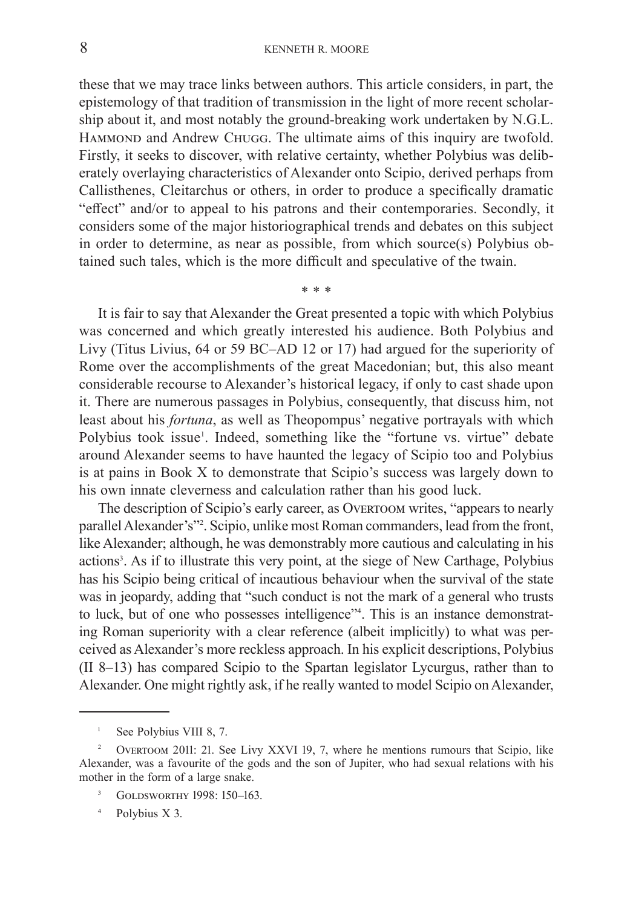these that we may trace links between authors. This article considers, in part, the epistemology of that tradition of transmission in the light of more recent scholarship about it, and most notably the ground-breaking work undertaken by N.G.L. HAMMOND and Andrew CHUGG. The ultimate aims of this inquiry are twofold. Firstly, it seeks to discover, with relative certainty, whether Polybius was deliberately overlaying characteristics of Alexander onto Scipio, derived perhaps from Callisthenes, Cleitarchus or others, in order to produce a specifically dramatic "effect" and/or to appeal to his patrons and their contemporaries. Secondly, it considers some of the major historiographical trends and debates on this subject in order to determine, as near as possible, from which source(s) Polybius obtained such tales, which is the more difficult and speculative of the twain.

\* \* \*

It is fair to say that Alexander the Great presented a topic with which Polybius was concerned and which greatly interested his audience. Both Polybius and Livy (Titus Livius, 64 or 59 BC–AD 12 or 17) had argued for the superiority of Rome over the accomplishments of the great Macedonian; but, this also meant considerable recourse to Alexander's historical legacy, if only to cast shade upon it. There are numerous passages in Polybius, consequently, that discuss him, not least about his *fortuna*, as well as Theopompus' negative portrayals with which Polybius took issue<sup>1</sup>. Indeed, something like the "fortune vs. virtue" debate around Alexander seems to have haunted the legacy of Scipio too and Polybius is at pains in Book X to demonstrate that Scipio's success was largely down to his own innate cleverness and calculation rather than his good luck.

The description of Scipio's early career, as Overtoom writes, "appears to nearly parallel Alexander's"<sup>2</sup>. Scipio, unlike most Roman commanders, lead from the front, like Alexander; although, he was demonstrably more cautious and calculating in his actions<sup>3</sup>. As if to illustrate this very point, at the siege of New Carthage, Polybius has his Scipio being critical of incautious behaviour when the survival of the state was in jeopardy, adding that "such conduct is not the mark of a general who trusts to luck, but of one who possesses intelligence"<sup>4</sup>. This is an instance demonstrating Roman superiority with a clear reference (albeit implicitly) to what was perceived as Alexander's more reckless approach. In his explicit descriptions, Polybius (II 8–13) has compared Scipio to the Spartan legislator Lycurgus, rather than to Alexander. One might rightly ask, if he really wanted to model Scipio on Alexander,

<sup>&</sup>lt;sup>1</sup> See Polybius VIII 8, 7.

<sup>2</sup> Overtoom 2011: 21. See Livy XXVI 19, 7, where he mentions rumours that Scipio, like Alexander, was a favourite of the gods and the son of Jupiter, who had sexual relations with his mother in the form of a large snake.

<sup>&</sup>lt;sup>3</sup> GOLDSWORTHY 1998: 150-163.

<sup>4</sup> Polybius X 3.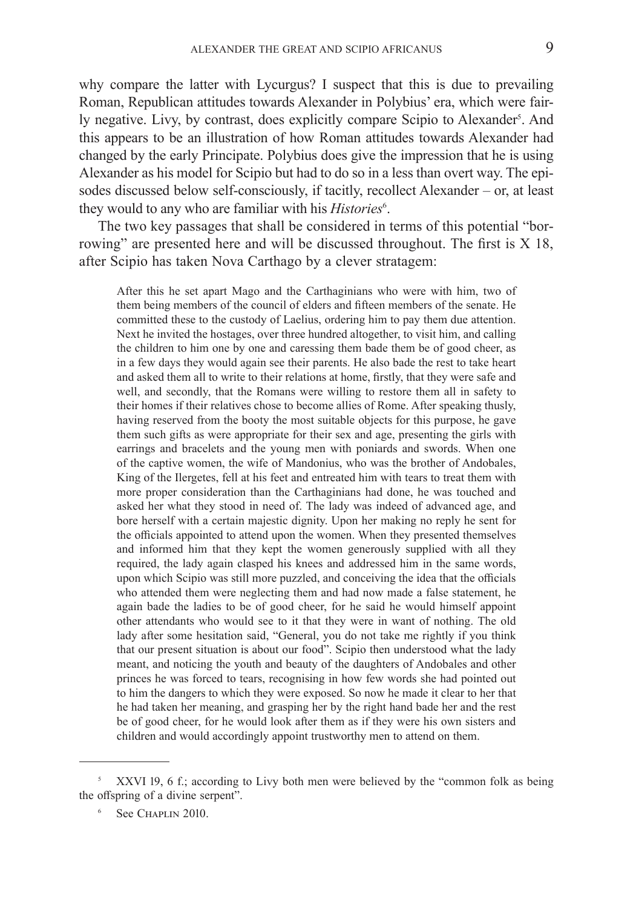why compare the latter with Lycurgus? I suspect that this is due to prevailing Roman, Republican attitudes towards Alexander in Polybius' era, which were fairly negative. Livy, by contrast, does explicitly compare Scipio to Alexander<sup>s</sup>. And this appears to be an illustration of how Roman attitudes towards Alexander had changed by the early Principate. Polybius does give the impression that he is using Alexander as his model for Scipio but had to do so in a less than overt way. The episodes discussed below self-consciously, if tacitly, recollect Alexander – or, at least they would to any who are familiar with his *Histories*<sup>6</sup>.

The two key passages that shall be considered in terms of this potential "borrowing" are presented here and will be discussed throughout. The first is X 18, after Scipio has taken Nova Carthago by a clever stratagem:

After this he set apart Mago and the Carthaginians who were with him, two of them being members of the council of elders and fifteen members of the senate. He committed these to the custody of Laelius, ordering him to pay them due attention. Next he invited the hostages, over three hundred altogether, to visit him, and calling the children to him one by one and caressing them bade them be of good cheer, as in a few days they would again see their parents. He also bade the rest to take heart and asked them all to write to their relations at home, firstly, that they were safe and well, and secondly, that the Romans were willing to restore them all in safety to their homes if their relatives chose to become allies of Rome. After speaking thusly, having reserved from the booty the most suitable objects for this purpose, he gave them such gifts as were appropriate for their sex and age, presenting the girls with earrings and bracelets and the young men with poniards and swords. When one of the captive women, the wife of Mandonius, who was the brother of Andobales, King of the Ilergetes, fell at his feet and entreated him with tears to treat them with more proper consideration than the Carthaginians had done, he was touched and asked her what they stood in need of. The lady was indeed of advanced age, and bore herself with a certain majestic dignity. Upon her making no reply he sent for the officials appointed to attend upon the women. When they presented themselves and informed him that they kept the women generously supplied with all they required, the lady again clasped his knees and addressed him in the same words, upon which Scipio was still more puzzled, and conceiving the idea that the officials who attended them were neglecting them and had now made a false statement, he again bade the ladies to be of good cheer, for he said he would himself appoint other attendants who would see to it that they were in want of nothing. The old lady after some hesitation said, "General, you do not take me rightly if you think that our present situation is about our food". Scipio then understood what the lady meant, and noticing the youth and beauty of the daughters of Andobales and other princes he was forced to tears, recognising in how few words she had pointed out to him the dangers to which they were exposed. So now he made it clear to her that he had taken her meaning, and grasping her by the right hand bade her and the rest be of good cheer, for he would look after them as if they were his own sisters and children and would accordingly appoint trustworthy men to attend on them.

<sup>5</sup> XXVI 19, 6 f.; according to Livy both men were believed by the "common folk as being the offspring of a divine serpent".

See Chaplin 2010.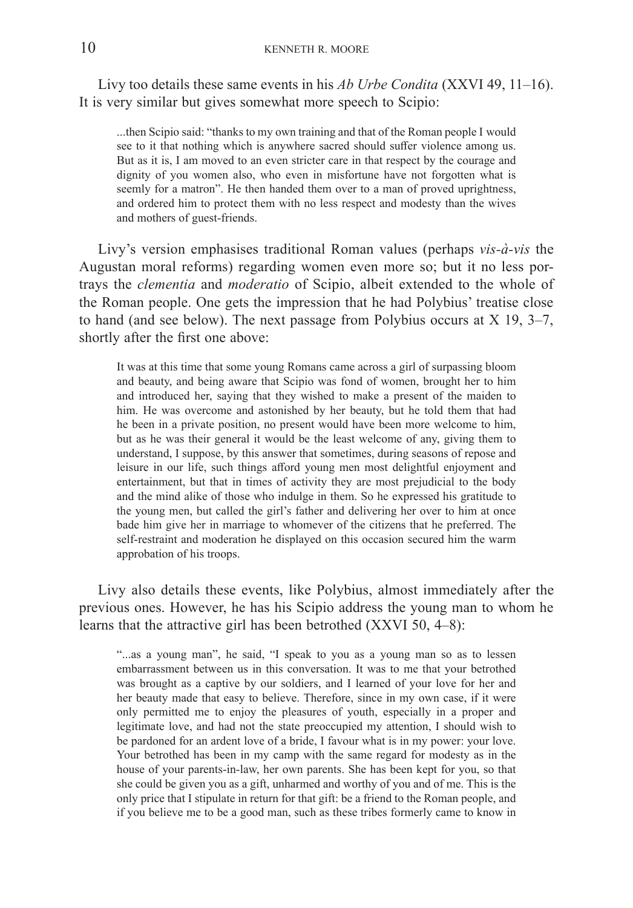Livy too details these same events in his *Ab Urbe Condita* (XXVI 49, 11–16). It is very similar but gives somewhat more speech to Scipio:

...then Scipio said: "thanks to my own training and that of the Roman people I  would see to it that nothing which is anywhere sacred should suffer violence among us. But as it is, I am moved to an even stricter care in that respect by the courage and dignity of you women also, who even in misfortune have not forgotten what is seemly for a matron". He then handed them over to a man of proved uprightness, and ordered him to protect them with no less respect and modesty than the wives and mothers of guest-friends.

Livy's version emphasises traditional Roman values (perhaps *vis-à-vis* the Augustan moral reforms) regarding women even more so; but it no less portrays the *clementia* and *moderatio* of Scipio, albeit extended to the whole of the Roman people. One gets the impression that he had Polybius' treatise close to hand (and see below). The next passage from Polybius occurs at X 19, 3–7, shortly after the first one above:

It was at this time that some young Romans came across a girl of surpassing bloom and beauty, and being aware that Scipio was fond of women, brought her to him and introduced her, saying that they wished to make a present of the maiden to him. He was overcome and astonished by her beauty, but he told them that had he been in a private position, no present would have been more welcome to him, but as he was their general it would be the least welcome of any, giving them to understand, I  suppose, by this answer that sometimes, during seasons of repose and leisure in our life, such things afford young men most delightful enjoyment and entertainment, but that in times of activity they are most prejudicial to the body and the mind alike of those who indulge in them. So he expressed his gratitude to the young men, but called the girl's father and delivering her over to him at once bade him give her in marriage to whomever of the citizens that he preferred. The self-restraint and moderation he displayed on this occasion secured him the warm approbation of his troops.

Livy also details these events, like Polybius, almost immediately after the previous ones. However, he has his Scipio address the young man to whom he learns that the attractive girl has been betrothed (XXVI 50, 4–8):

"...as a young man", he said, "I speak to you as a young man so as to lessen embarrassment between us in this conversation. It was to me that your betrothed was brought as a captive by our soldiers, and I learned of your love for her and her beauty made that easy to believe. Therefore, since in my own case, if it were only permitted me to enjoy the pleasures of youth, especially in a proper and legitimate love, and had not the state preoccupied my attention, I should wish to be pardoned for an ardent love of a bride, I favour what is in my power: your love. Your betrothed has been in my camp with the same regard for modesty as in the house of your parents-in-law, her own parents. She has been kept for you, so that she could be given you as a gift, unharmed and worthy of you and of me. This is the only price that I stipulate in return for that gift: be a friend to the Roman people, and if you believe me to be a good man, such as these tribes formerly came to know in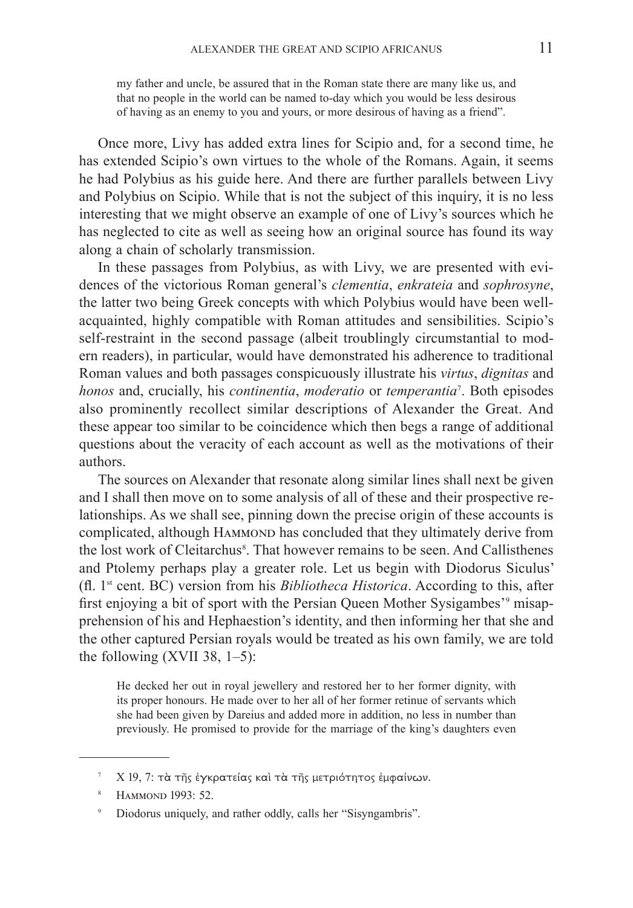my father and uncle, be assured that in the Roman state there are many like us, and that no people in the world can be named to-day which you would be less desirous of having as an enemy to you and yours, or more desirous of having as a friend".

Once more, Livy has added extra lines for Scipio and, for a second time, he has extended Scipio's own virtues to the whole of the Romans. Again, it seems he had Polybius as his guide here. And there are further parallels between Livy and Polybius on Scipio. While that is not the subject of this inquiry, it is no less interesting that we might observe an example of one of Livy's sources which he has neglected to cite as well as seeing how an original source has found its way along a chain of scholarly transmission.

In these passages from Polybius, as with Livy, we are presented with evidences of the victorious Roman general's *clementia*, *enkrateia* and *sophrosyne*, the latter two being Greek concepts with which Polybius would have been wellacquainted, highly compatible with Roman attitudes and sensibilities. Scipio's self-restraint in the second passage (albeit troublingly circumstantial to modern readers), in particular, would have demonstrated his adherence to traditional Roman values and both passages conspicuously illustrate his *virtus*, *dignitas* and *honos* and, crucially, his *continentia*, *moderatio* or *temperantia*<sup>7</sup> . Both episodes also prominently recollect similar descriptions of Alexander the Great. And these appear too similar to be coincidence which then begs a range of additional questions about the veracity of each account as well as the motivations of their authors.

The sources on Alexander that resonate along similar lines shall next be given and I shall then move on to some analysis of all of these and their prospective relationships. As we shall see, pinning down the precise origin of these accounts is complicated, although HAMMOND has concluded that they ultimately derive from the lost work of Cleitarchus<sup>8</sup>. That however remains to be seen. And Callisthenes and Ptolemy perhaps play a greater role. Let us begin with Diodorus Siculus' (fl.  1st cent. BC) version from his *Bibliotheca Historica*. According to this, after first enjoying a bit of sport with the Persian Queen Mother Sysigambes'<sup>9</sup> misapprehension of his and Hephaestion's identity, and then informing her that she and the other captured Persian royals would be treated as his own family, we are told the following  $(XVII 38, 1-5)$ :

He decked her out in royal jewellery and restored her to her former dignity, with its proper honours. He made over to her all of her former retinue of servants which she had been given by Dareius and added more in addition, no less in number than previously. He promised to provide for the marriage of the king's daughters even

<sup>&</sup>lt;sup>7</sup> Χ 19, 7: τὰ τῆς ἐγκρατείας καὶ τὰ τῆς μετριότητος ἐμφαίνων.

<sup>&</sup>lt;sup>8</sup> HAMMOND 1993: 52.

<sup>9</sup> Diodorus uniquely, and rather oddly, calls her "Sisyngambris".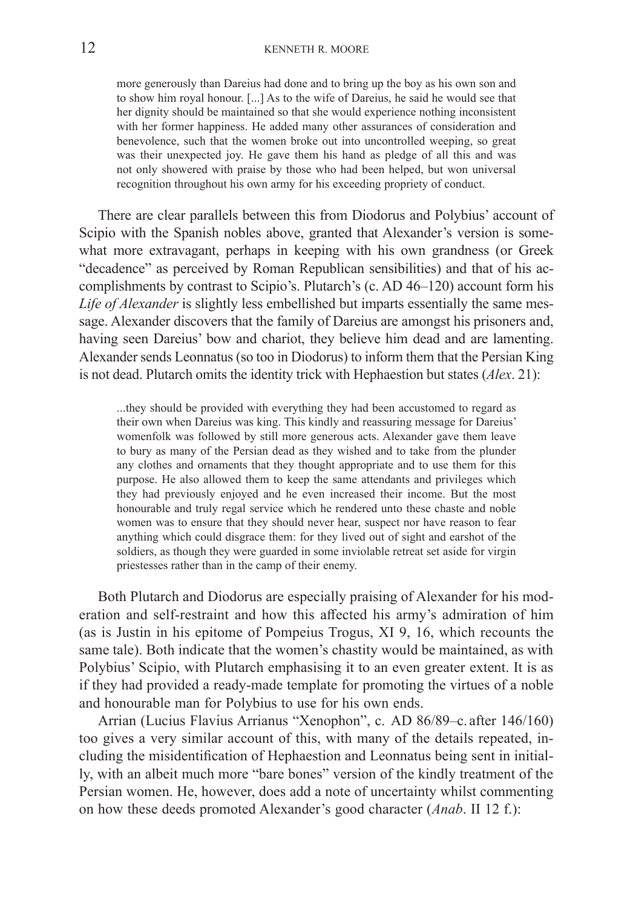more generously than Dareius had done and to bring up the boy as his own son and to show him royal honour. [...] As to the wife of Dareius, he said he would see that her dignity should be maintained so that she would experience nothing inconsistent with her former happiness. He added many other assurances of consideration and benevolence, such that the women broke out into uncontrolled weeping, so great was their unexpected joy. He gave them his hand as pledge of all this and was not only showered with praise by those who had been helped, but won universal recognition throughout his own army for his exceeding propriety of conduct.

There are clear parallels between this from Diodorus and Polybius' account of Scipio with the Spanish nobles above, granted that Alexander's version is somewhat more extravagant, perhaps in keeping with his own grandness (or Greek "decadence" as perceived by Roman Republican sensibilities) and that of his accomplishments by contrast to Scipio's. Plutarch's (c. AD 46–120) account form his *Life of Alexander* is slightly less embellished but imparts essentially the same message. Alexander discovers that the family of Dareius are amongst his prisoners and, having seen Dareius' bow and chariot, they believe him dead and are lamenting. Alexander sends Leonnatus (so too in Diodorus) to inform them that the Persian King is not dead. Plutarch omits the identity trick with Hephaestion but states (*Alex*. 21):

...they should be provided with everything they had been accustomed to regard as their own when Dareius was king. This kindly and reassuring message for Dareius' womenfolk was followed by still more generous acts. Alexander gave them leave to bury as many of the Persian dead as they wished and to take from the plunder any clothes and ornaments that they thought appropriate and to use them for this purpose. He also allowed them to keep the same attendants and privileges which they had previously enjoyed and he even increased their income. But the most honourable and truly regal service which he rendered unto these chaste and noble women was to ensure that they should never hear, suspect nor have reason to fear anything which could disgrace them: for they lived out of sight and earshot of the soldiers, as though they were guarded in some inviolable retreat set aside for virgin priestesses rather than in the camp of their enemy.

Both Plutarch and Diodorus are especially praising of Alexander for his moderation and self-restraint and how this affected his army's admiration of him (as is Justin in his epitome of Pompeius Trogus, XI 9, 16, which recounts the same tale). Both indicate that the women's chastity would be maintained, as with Polybius' Scipio, with Plutarch emphasising it to an even greater extent. It is as if they had provided a ready-made template for promoting the virtues of a noble and honourable man for Polybius to use for his own ends.

Arrian (Lucius Flavius Arrianus "Xenophon", c. AD 86/89–c. after 146/160) too gives a very similar account of this, with many of the details repeated, including the misidentification of Hephaestion and Leonnatus being sent in initially, with an albeit much more "bare bones" version of the kindly treatment of the Persian women. He, however, does add a note of uncertainty whilst commenting on how these deeds promoted Alexander's good character (*Anab*. II 12 f.):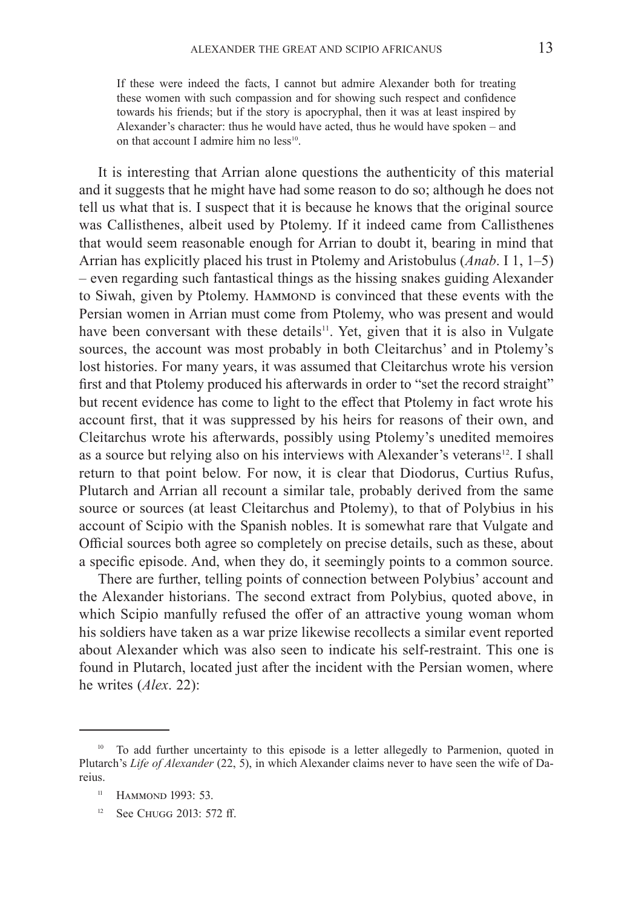If these were indeed the facts, I cannot but admire Alexander both for treating these women with such compassion and for showing such respect and confidence towards his friends; but if the story is apocryphal, then it was at least inspired by Alexander's character: thus he would have acted, thus he would have spoken – and on that account I admire him no  $less<sup>10</sup>$ .

It is interesting that Arrian alone questions the authenticity of this material and it suggests that he might have had some reason to do so; although he does not tell us what that is. I suspect that it is because he knows that the original source was Callisthenes, albeit used by Ptolemy. If it indeed came from Callisthenes that would seem reasonable enough for Arrian to doubt it, bearing in mind that Arrian has explicitly placed his trust in Ptolemy and Aristobulus (*Anab*. I 1, 1–5) – even regarding such fantastical things as the hissing snakes guiding Alexander to Siwah, given by Ptolemy. HAMMOND is convinced that these events with the Persian women in Arrian must come from Ptolemy, who was present and would have been conversant with these details<sup>11</sup>. Yet, given that it is also in Vulgate sources, the account was most probably in both Cleitarchus' and in Ptolemy's lost histories. For many years, it was assumed that Cleitarchus wrote his version first and that Ptolemy produced his afterwards in order to "set the record straight" but recent evidence has come to light to the effect that Ptolemy in fact wrote his account first, that it was suppressed by his heirs for reasons of their own, and Cleitarchus wrote his afterwards, possibly using Ptolemy's unedited memoires as a source but relying also on his interviews with Alexander's veterans<sup>12</sup>. I shall return to that point below. For now, it is clear that Diodorus, Curtius Rufus, Plutarch and Arrian all recount a similar tale, probably derived from the same source or sources (at least Cleitarchus and Ptolemy), to that of Polybius in his account of Scipio with the Spanish nobles. It is somewhat rare that Vulgate and Official sources both agree so completely on precise details, such as these, about a specific episode. And, when they do, it seemingly points to a common source.

There are further, telling points of connection between Polybius' account and the Alexander historians. The second extract from Polybius, quoted above, in which Scipio manfully refused the offer of an attractive young woman whom his soldiers have taken as a war prize likewise recollects a similar event reported about Alexander which was also seen to indicate his self-restraint. This one is found in Plutarch, located just after the incident with the Persian women, where he writes (*Alex*. 22):

<sup>&</sup>lt;sup>10</sup> To add further uncertainty to this episode is a letter allegedly to Parmenion, quoted in Plutarch's *Life of Alexander* (22, 5), in which Alexander claims never to have seen the wife of  Dareius.

<sup>&</sup>lt;sup>11</sup> HAMMOND 1993: 53.

 $12$  See Chugg 2013: 572 ff.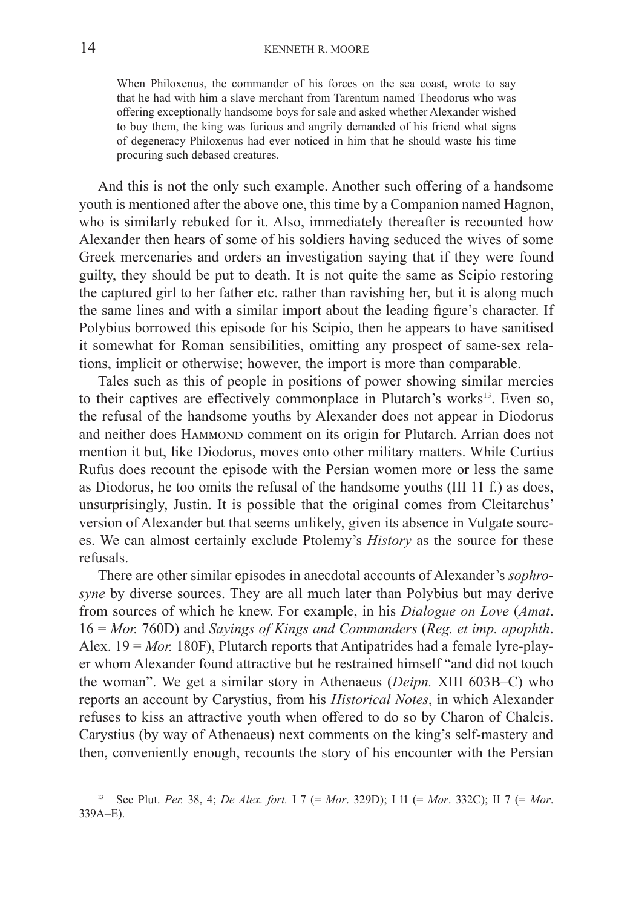When Philoxenus, the commander of his forces on the sea coast, wrote to say that he had with him a slave merchant from Tarentum named Theodorus who was offering exceptionally handsome boys for sale and asked whether Alexander wished to buy them, the king was furious and angrily demanded of his friend what signs of degeneracy Philoxenus had ever noticed in him that he should waste his time procuring such debased creatures.

And this is not the only such example. Another such offering of a handsome youth is mentioned after the above one, this time by a Companion named Hagnon, who is similarly rebuked for it. Also, immediately thereafter is recounted how Alexander then hears of some of his soldiers having seduced the wives of some Greek mercenaries and orders an investigation saying that if they were found guilty, they should be put to death. It is not quite the same as Scipio restoring the captured girl to her father etc. rather than ravishing her, but it is along much the same lines and with a similar import about the leading figure's character. If Polybius borrowed this episode for his Scipio, then he appears to have sanitised it somewhat for Roman sensibilities, omitting any prospect of same-sex relations, implicit or otherwise; however, the import is more than comparable.

Tales such as this of people in positions of power showing similar mercies to their captives are effectively commonplace in Plutarch's works $13$ . Even so, the refusal of the handsome youths by Alexander does not appear in Diodorus and neither does HAMMOND comment on its origin for Plutarch. Arrian does not mention it but, like Diodorus, moves onto other military matters. While Curtius Rufus does recount the episode with the Persian women more or less the same as Diodorus, he too omits the refusal of the handsome youths (III 11 f.) as does, unsurprisingly, Justin. It is possible that the original comes from Cleitarchus' version of Alexander but that seems unlikely, given its absence in Vulgate sources. We can almost certainly exclude Ptolemy's *History* as the source for these refusals.

There are other similar episodes in anecdotal accounts of Alexander's *sophrosyne* by diverse sources. They are all much later than Polybius but may derive from sources of which he knew. For example, in his *Dialogue on Love* (*Amat*. 16 = *Mor.* 760D) and *Sayings of Kings and Commanders* (*Reg. et imp. apophth*. Alex. 19 = *Mor.* 180F), Plutarch reports that Antipatrides had a female lyre-player whom Alexander found attractive but he restrained himself "and did not touch the woman". We get a similar story in Athenaeus (*Deipn.* XIII 603B–C) who reports an account by Carystius, from his *Historical Notes*, in which Alexander refuses to kiss an attractive youth when offered to do so by Charon of Chalcis. Carystius (by way of Athenaeus) next comments on the king's self-mastery and then, conveniently enough, recounts the story of his encounter with the Persian

<sup>13</sup> See Plut. *Per.* 38, 4; *De Alex. fort.* I 7 (= *Mor*. 329D); I 11 (= *Mor*. 332C); II 7 (= *Mor*. 339A–E).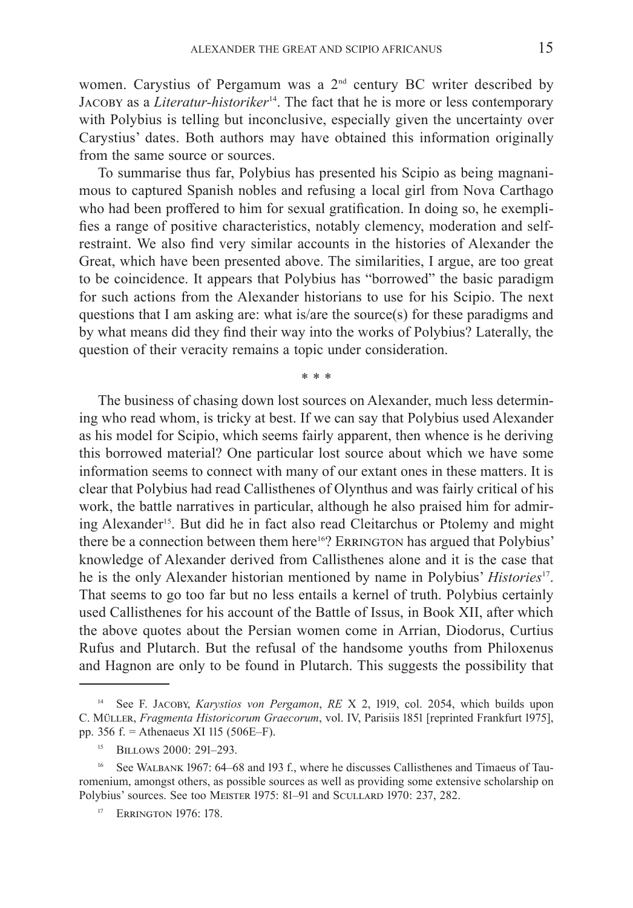women. Carystius of Pergamum was a 2<sup>nd</sup> century BC writer described by JACOBY as a *Literatur-historiker*<sup>14</sup>. The fact that he is more or less contemporary with Polybius is telling but inconclusive, especially given the uncertainty over Carystius' dates. Both authors may have obtained this information originally from the same source or sources.

To summarise thus far, Polybius has presented his Scipio as being magnanimous to captured Spanish nobles and refusing a local girl from Nova Carthago who had been proffered to him for sexual gratification. In doing so, he exemplifies a range of positive characteristics, notably clemency, moderation and selfrestraint. We also find very similar accounts in the histories of Alexander the Great, which have been presented above. The similarities, I argue, are too great to be coincidence. It appears that Polybius has "borrowed" the basic paradigm for such actions from the Alexander historians to use for his Scipio. The next questions that I am asking are: what is/are the source(s) for these paradigms and by what means did they find their way into the works of Polybius? Laterally, the question of their veracity remains a topic under consideration.

\* \* \*

The business of chasing down lost sources on Alexander, much less determining who read whom, is tricky at best. If we can say that Polybius used Alexander as his model for Scipio, which seems fairly apparent, then whence is he deriving this borrowed material? One particular lost source about which we have some information seems to connect with many of our extant ones in these matters. It is clear that Polybius had read Callisthenes of Olynthus and was fairly critical of  his work, the battle narratives in particular, although he also praised him for admiring Alexander<sup>15</sup>. But did he in fact also read Cleitarchus or Ptolemy and might there be a connection between them here<sup>16</sup>? ERRINGTON has argued that Polybius' knowledge of Alexander derived from Callisthenes alone and it is the case that he is the only Alexander historian mentioned by name in Polybius' *Histories*17. That seems to go too far but no less entails a kernel of truth. Polybius certainly used Callisthenes for his account of the Battle of Issus, in Book XII, after which the above quotes about the Persian women come in Arrian, Diodorus, Curtius Rufus and Plutarch. But the refusal of the handsome youths from Philoxenus and Hagnon are only to be found in Plutarch. This suggests the possibility that

<sup>&</sup>lt;sup>14</sup> See F. JACOBY, *Karystios von Pergamon*, *RE* X 2, 1919, col. 2054, which builds upon C. Müller, *Fragmenta Historicorum Graecorum*, vol. IV, Parisiis 1851 [reprinted Frankfurt 1975], pp. 356 f. = Athenaeus XI 115 (506E–F).

<sup>&</sup>lt;sup>15</sup> BILLOWS 2000: 291-293.

<sup>16</sup> See Walbank 1967: 64–68 and 193 f., where he discusses Callisthenes and Timaeus of Tauromenium, amongst others, as possible sources as well as providing some extensive scholarship on Polybius' sources. See too MEISTER 1975: 81–91 and SCULLARD 1970: 237, 282.

<sup>&</sup>lt;sup>17</sup> ERRINGTON 1976: 178.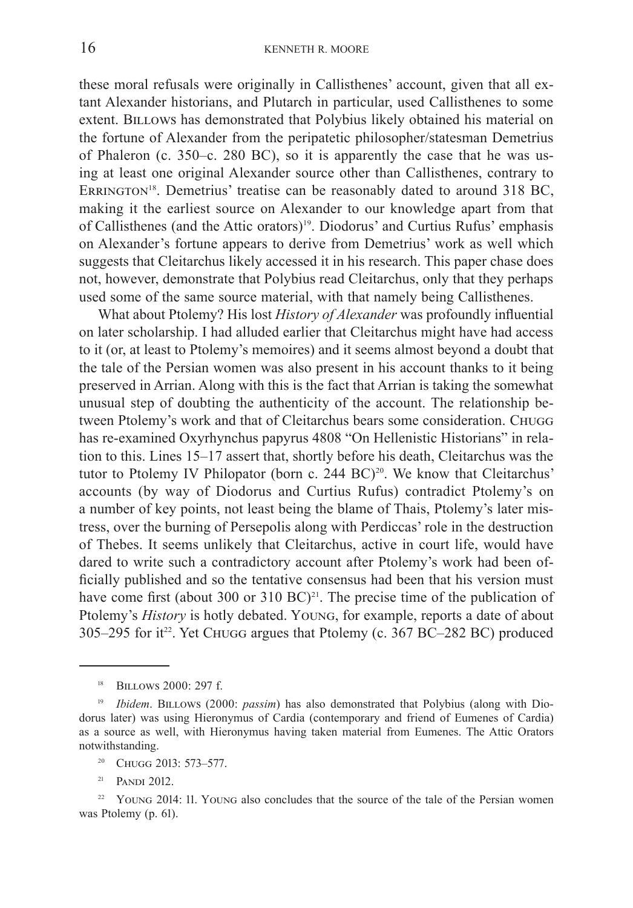these moral refusals were originally in Callisthenes' account, given that all extant Alexander historians, and Plutarch in particular, used Callisthenes to some extent. BILLOWS has demonstrated that Polybius likely obtained his material on the fortune of Alexander from the peripatetic philosopher/statesman Demetrius of Phaleron (c. 350–c. 280 BC), so it is apparently the case that he was using at least one original Alexander source other than Callisthenes, contrary to ERRINGTON<sup>18</sup>. Demetrius' treatise can be reasonably dated to around 318 BC, making it the earliest source on Alexander to our knowledge apart from that of Callisthenes (and the Attic orators)<sup>19</sup>. Diodorus' and Curtius Rufus' emphasis on Alexander's fortune appears to derive from Demetrius' work as well which suggests that Cleitarchus likely accessed it in his research. This paper chase does not, however, demonstrate that Polybius read Cleitarchus, only that they perhaps used some of the same source material, with that namely being Callisthenes.

What about Ptolemy? His lost *History of Alexander* was profoundly influential on later scholarship. I had alluded earlier that Cleitarchus might have had access to it (or, at least to Ptolemy's memoires) and it seems almost beyond a doubt that the tale of the Persian women was also present in his account thanks to it being preserved in Arrian. Along with this is the fact that Arrian is taking the somewhat unusual step of doubting the authenticity of the account. The relationship between Ptolemy's work and that of Cleitarchus bears some consideration. Chugg has re-examined Oxyrhynchus papyrus 4808 "On Hellenistic Historians" in relation to this. Lines 15–17 assert that, shortly before his death, Cleitarchus was the tutor to Ptolemy IV Philopator (born c. 244 BC)<sup>20</sup>. We know that Cleitarchus' accounts (by way of Diodorus and Curtius Rufus) contradict Ptolemy's on a number of key points, not least being the blame of Thais, Ptolemy's later mistress, over the burning of Persepolis along with Perdiccas' role in the destruction of Thebes. It seems unlikely that Cleitarchus, active in court life, would have dared to write such a contradictory account after Ptolemy's work had been officially published and so the tentative consensus had been that his version must have come first (about 300 or 310 BC)<sup>21</sup>. The precise time of the publication of Ptolemy's *History* is hotly debated. Young, for example, reports a date of about 305–295 for it<sup>22</sup>. Yet CHUGG argues that Ptolemy (c. 367 BC–282 BC) produced

<sup>20</sup> CHUGG 2013: 573-577.

 $21$  PANDI 2012.

<sup>&</sup>lt;sup>18</sup> BILLOWS 2000: 297 f.

<sup>&</sup>lt;sup>19</sup> *Ibidem*. BILLOWS (2000: *passim*) has also demonstrated that Polybius (along with Diodorus later) was using Hieronymus of Cardia (contemporary and friend of Eumenes of Cardia) as a source as well, with Hieronymus having taken material from Eumenes. The Attic Orators notwithstanding.

<sup>&</sup>lt;sup>22</sup> YOUNG 2014: 11. YOUNG also concludes that the source of the tale of the Persian women was Ptolemy (p. 61).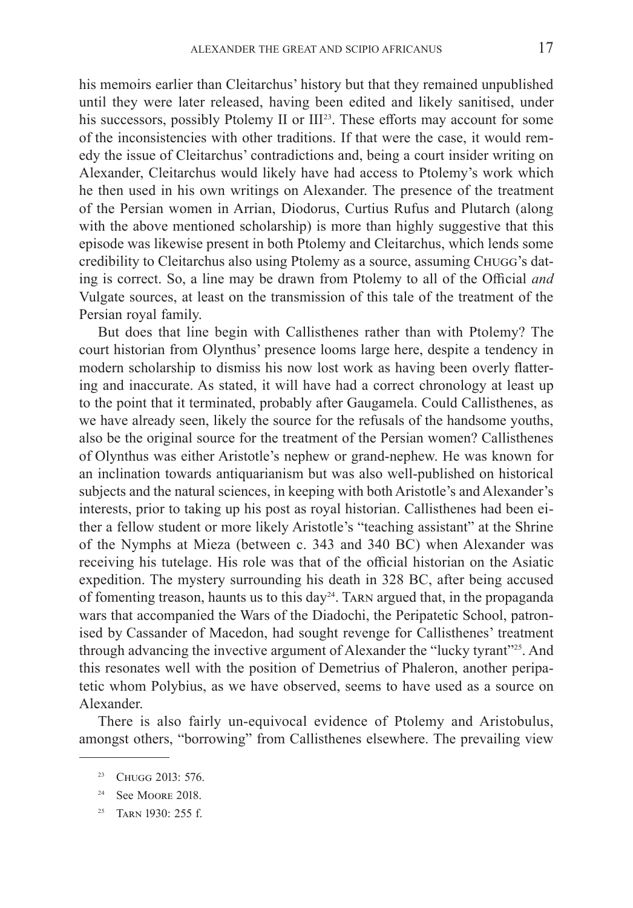his memoirs earlier than Cleitarchus' history but that they remained unpublished until they were later released, having been edited and likely sanitised, under his successors, possibly Ptolemy II or III<sup>23</sup>. These efforts may account for some of  the inconsistencies with other traditions. If that were the case, it would remedy the issue of Cleitarchus' contradictions and, being a court insider writing on Alexander, Cleitarchus would likely have had access to Ptolemy's work which he then used in his own writings on Alexander. The presence of the treatment of the Persian women in Arrian, Diodorus, Curtius Rufus and Plutarch (along with the above mentioned scholarship) is more than highly suggestive that this episode was likewise present in both Ptolemy and Cleitarchus, which lends some credibility to Cleitarchus also using Ptolemy as a source, assuming Chugg's dating is correct. So, a line may be drawn from Ptolemy to all of the Official *and* Vulgate sources, at least on the transmission of this tale of the treatment of the Persian royal family.

But does that line begin with Callisthenes rather than with Ptolemy? The court historian from Olynthus' presence looms large here, despite a tendency in modern scholarship to dismiss his now lost work as having been overly flattering and inaccurate. As stated, it will have had a correct chronology at least up to the point that it terminated, probably after Gaugamela. Could Callisthenes, as we have already seen, likely the source for the refusals of the handsome youths, also be the original source for the treatment of the Persian women? Callisthenes of  Olynthus was either Aristotle's nephew or grand-nephew. He was known for an inclination towards antiquarianism but was also well-published on historical subjects and the natural sciences, in keeping with both Aristotle's and Alexander's interests, prior to taking up his post as royal historian. Callisthenes had been either a fellow student or more likely Aristotle's "teaching assistant" at the Shrine of the Nymphs at Mieza (between c. 343 and 340 BC) when Alexander was receiving his tutelage. His role was that of the official historian on the Asiatic expedition. The mystery surrounding his death in 328 BC, after being accused of fomenting treason, haunts us to this day<sup>24</sup>. TARN argued that, in the propaganda wars that accompanied the Wars of the Diadochi, the Peripatetic School, patronised by  Cassander of Macedon, had sought revenge for Callisthenes' treatment through advancing the invective argument of Alexander the "lucky tyrant"<sup>25</sup>. And this resonates well with the position of Demetrius of Phaleron, another peripatetic whom Polybius, as we have observed, seems to have used as a source on Alexander.

There is also fairly un-equivocal evidence of Ptolemy and Aristobulus, amongst others, "borrowing" from Callisthenes elsewhere. The prevailing view

<sup>&</sup>lt;sup>23</sup> CHUGG 2013: 576.

<sup>&</sup>lt;sup>24</sup> See MOORE 2018.

<sup>&</sup>lt;sup>25</sup> TARN 1930: 255 f.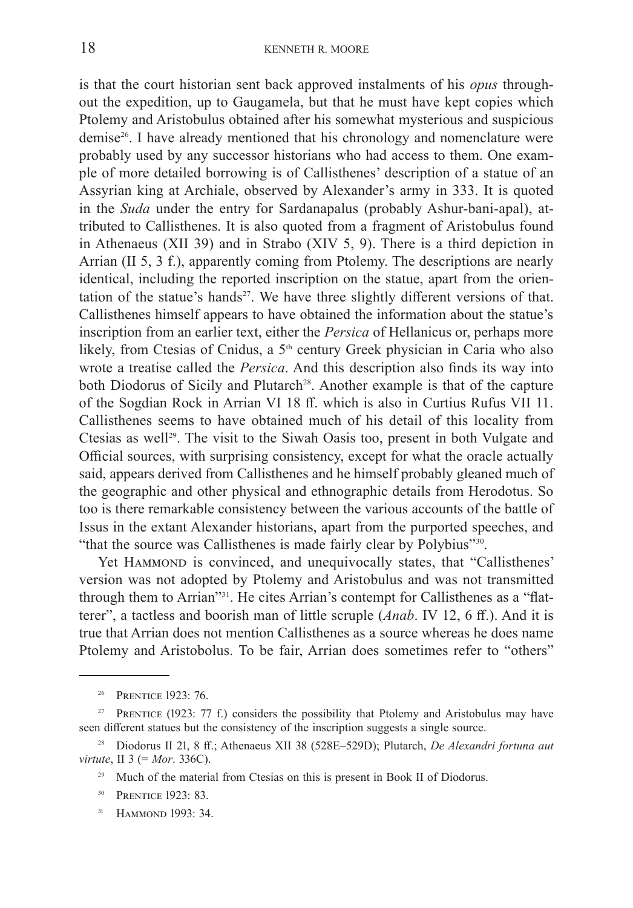is that the court historian sent back approved instalments of his *opus* throughout the expedition, up to Gaugamela, but that he must have kept copies which Ptolemy and Aristobulus obtained after his somewhat mysterious and suspicious demise<sup>26</sup>. I have already mentioned that his chronology and nomenclature were probably used by any successor historians who had access to them. One example of more detailed borrowing is of Callisthenes' description of a statue of an Assyrian king at Archiale, observed by Alexander's army in 333. It is quoted in the *Suda* under the entry for Sardanapalus (probably Ashur-bani-apal), attributed to Callisthenes. It is also quoted from a fragment of Aristobulus found in Athenaeus (XII 39) and in Strabo (XIV 5, 9). There is a third depiction in Arrian (II 5, 3 f.), apparently coming from Ptolemy. The descriptions are nearly identical, including the reported inscription on the statue, apart from the orientation of the statue's hands<sup>27</sup>. We have three slightly different versions of that. Callisthenes himself appears to have obtained the information about the statue's inscription from an earlier text, either the *Persica* of Hellanicus or, perhaps more likely, from Ctesias of Cnidus, a 5<sup>th</sup> century Greek physician in Caria who also wrote a treatise called the *Persica*. And this description also finds its way into both Diodorus of Sicily and Plutarch<sup>28</sup>. Another example is that of the capture of the Sogdian Rock in Arrian VI 18 ff. which is also in Curtius Rufus VII 11. Callisthenes seems to have obtained much of his detail of this locality from Ctesias as well<sup>29</sup>. The visit to the Siwah Oasis too, present in both Vulgate and Official sources, with surprising consistency, except for what the oracle actually said, appears derived from Callisthenes and he himself probably gleaned much of the geographic and other physical and ethnographic details from Herodotus. So too is there remarkable consistency between the various accounts of the battle of Issus in the extant Alexander historians, apart from the purported speeches, and "that the source was Callisthenes is made fairly clear by Polybius"<sup>30</sup>.

Yet HAMMOND is convinced, and unequivocally states, that "Callisthenes' version was not adopted by Ptolemy and Aristobulus and was not transmitted through them to Arrian"<sup>31</sup>. He cites Arrian's contempt for Callisthenes as a "flatterer", a tactless and boorish man of little scruple (*Anab*. IV 12, 6 ff.). And it is true that Arrian does not mention Callisthenes as a source whereas he does name Ptolemy and Aristobolus. To be fair, Arrian does sometimes refer to "others"

<sup>31</sup> HAMMOND 1993: 34.

<sup>&</sup>lt;sup>26</sup> PRENTICE 1923: 76.

<sup>&</sup>lt;sup>27</sup> PRENTICE (1923: 77 f.) considers the possibility that Ptolemy and Aristobulus may have seen different statues but the consistency of the inscription suggests a single source.

<sup>28</sup> Diodorus II 21, 8 ff.; Athenaeus XII 38 (528E–529D); Plutarch, *De Alexandri fortuna aut virtute*, II 3 (= *Mor*. 336C).

<sup>&</sup>lt;sup>29</sup> Much of the material from Ctesias on this is present in Book II of Diodorus.

<sup>&</sup>lt;sup>30</sup> PRENTICE 1923: 83.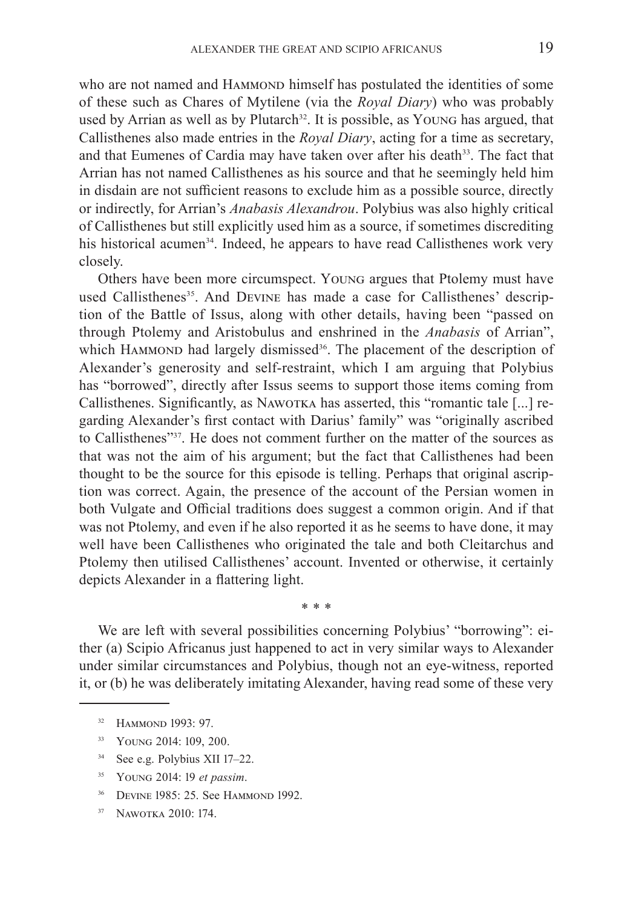who are not named and HAMMOND himself has postulated the identities of some of these such as Chares of Mytilene (via the *Royal Diary*) who was probably used by Arrian as well as by Plutarch<sup>32</sup>. It is possible, as Young has argued, that Callisthenes also made entries in the *Royal Diary*, acting for a time as secretary, and that Eumenes of Cardia may have taken over after his death<sup>33</sup>. The fact that Arrian has not named Callisthenes as his source and that he seemingly held him in disdain are not sufficient reasons to exclude him as a possible source, directly or indirectly, for Arrian's *Anabasis Alexandrou*. Polybius was also highly critical of Callisthenes but still explicitly used him as a source, if sometimes discrediting his historical acumen<sup>34</sup>. Indeed, he appears to have read Callisthenes work very closely.

Others have been more circumspect. Young argues that Ptolemy must have used Callisthenes<sup>35</sup>. And DEVINE has made a case for Callisthenes' description of the Battle of Issus, along with other details, having been "passed on through Ptolemy and Aristobulus and enshrined in the *Anabasis* of Arrian", which HAMMOND had largely dismissed<sup>36</sup>. The placement of the description of Alexander's generosity and self-restraint, which I am arguing that Polybius has "borrowed", directly after Issus seems to support those items coming from Callisthenes. Significantly, as NAWOTKA has asserted, this "romantic tale [...] regarding Alexander's first contact with Darius' family" was "originally ascribed to Callisthenes"37. He does not comment further on the matter of the sources as that was not the aim of his argument; but the fact that Callisthenes had been thought to be the source for this episode is telling. Perhaps that original ascription was correct. Again, the presence of the account of the Persian women in both Vulgate and Official traditions does suggest a common origin. And if that was not Ptolemy, and even if he also reported it as he seems to have done, it may well have been Callisthenes who originated the tale and both Cleitarchus and Ptolemy then utilised Callisthenes' account. Invented or otherwise, it certainly depicts Alexander in a flattering light.

We are left with several possibilities concerning Polybius' "borrowing": either (a) Scipio Africanus just happened to act in very similar ways to Alexander under similar circumstances and Polybius, though not an eye-witness, reported it, or (b) he was deliberately imitating Alexander, having read some of these very

\* \* \*

- <sup>33</sup> Young 2014: 109, 200.
- <sup>34</sup> See e.g. Polybius XII 17–22.
- <sup>35</sup> Young 2014: 19 *et passim*.
- <sup>36</sup> DEVINE 1985: 25. See HAMMOND 1992.
- <sup>37</sup> Nawotka 2010: 174.

<sup>&</sup>lt;sup>32</sup> HAMMOND 1993: 97.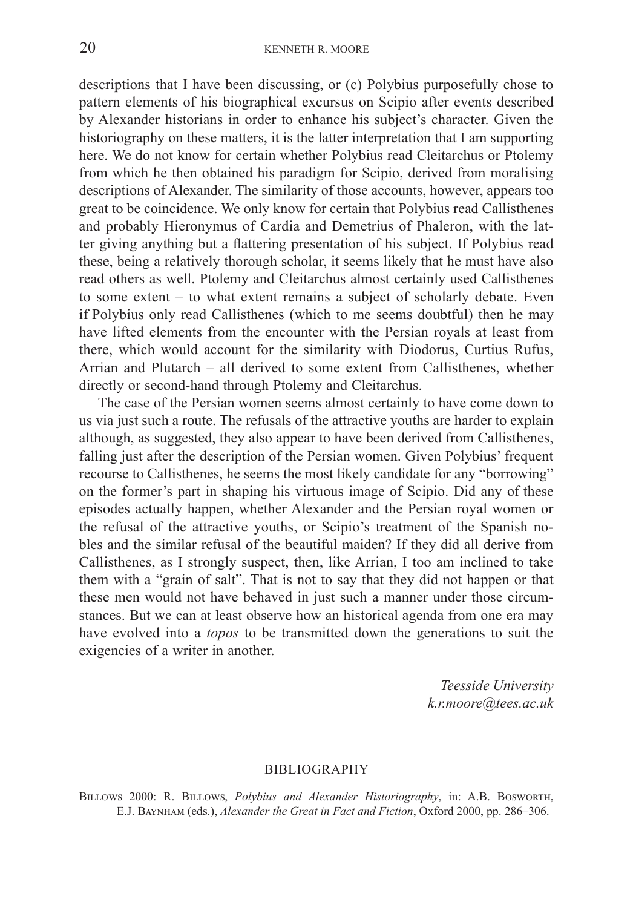descriptions that I have been discussing, or (c) Polybius purposefully chose to pattern elements of his biographical excursus on Scipio after events described by Alexander historians in order to enhance his subject's character. Given the historiography on these matters, it is the latter interpretation that I am supporting here. We do not know for certain whether Polybius read Cleitarchus or Ptolemy from which he then obtained his paradigm for Scipio, derived from moralising descriptions of Alexander. The similarity of those accounts, however, appears too great to be coincidence. We only know for certain that Polybius read Callisthenes and probably Hieronymus of Cardia and Demetrius of Phaleron, with the latter giving anything but a flattering presentation of his subject. If Polybius read these, being a relatively thorough scholar, it seems likely that he must have also read others as well. Ptolemy and Cleitarchus almost certainly used Callisthenes to some extent – to what extent remains a subject of scholarly debate. Even if  Polybius only read Callisthenes (which to me seems doubtful) then he may have lifted elements from the encounter with the Persian royals at least from there, which would account for the similarity with Diodorus, Curtius Rufus, Arrian and Plutarch – all derived to some extent from Callisthenes, whether directly or second-hand through Ptolemy and Cleitarchus.

The case of the Persian women seems almost certainly to have come down to us via just such a route. The refusals of the attractive youths are harder to explain although, as suggested, they also appear to have been derived from Callisthenes, falling just after the description of the Persian women. Given Polybius' frequent recourse to Callisthenes, he seems the most likely candidate for any "borrowing" on the former's part in shaping his virtuous image of Scipio. Did any of  these episodes actually happen, whether Alexander and the Persian royal women or the refusal of the attractive youths, or Scipio's treatment of the Spanish nobles and the similar refusal of the beautiful maiden? If they did all derive from Callisthenes, as I strongly suspect, then, like Arrian, I too am inclined to take them with a "grain of salt". That is not to say that they did not happen or that these men would not have behaved in just such a manner under those circumstances. But we can at least observe how an historical agenda from one era may have evolved into a *topos* to be transmitted down the generations to suit the exigencies of a writer in another.

> *Teesside University k.r.moore@tees.ac.uk*

#### BIBLIOGRAPHY

Billows 2000: R. Billows, *Polybius and Alexander Historiography*, in: A.B. Bosworth, E.J.  Baynham (eds.), *Alexander the Great in Fact and Fiction*, Oxford 2000, pp. 286–306.